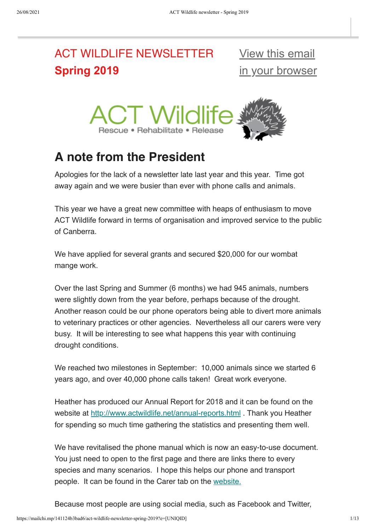# ACT WILDLIFE NEWSLETTER **Spring 2019**

# View this email [in your browser](https://mailchi.mp/141124b3bad6/act-wildlife-newsletter-spring-2019?e=[UNIQID])



# **A note from the President**

Apologies for the lack of a newsletter late last year and this year. Time got away again and we were busier than ever with phone calls and animals.

This year we have a great new committee with heaps of enthusiasm to move ACT Wildlife forward in terms of organisation and improved service to the public of Canberra.

We have applied for several grants and secured \$20,000 for our wombat mange work.

Over the last Spring and Summer (6 months) we had 945 animals, numbers were slightly down from the year before, perhaps because of the drought. Another reason could be our phone operators being able to divert more animals to veterinary practices or other agencies. Nevertheless all our carers were very busy. It will be interesting to see what happens this year with continuing drought conditions.

We reached two milestones in September: 10,000 animals since we started 6 years ago, and over 40,000 phone calls taken! Great work everyone.

Heather has produced our Annual Report for 2018 and it can be found on the website at <http://www.actwildlife.net/annual-reports.html> . Thank you Heather for spending so much time gathering the statistics and presenting them well.

We have revitalised the phone manual which is now an easy-to-use document. You just need to open to the first page and there are links there to every species and many scenarios. I hope this helps our phone and transport people. It can be found in the Carer tab on the [website.](http://actwildlife.net/annual-reports.html)

Because most people are using social media, such as Facebook and Twitter,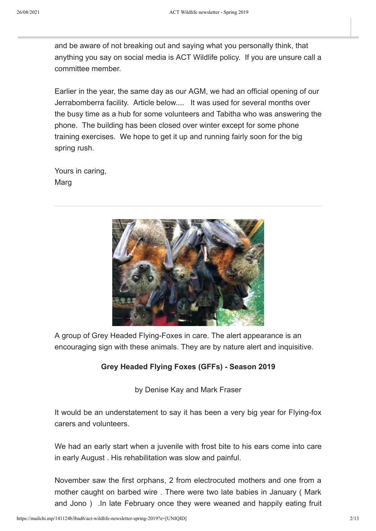and be aware of not breaking out and saying what you personally think, that anything you say on social media is ACT Wildlife policy. If you are unsure call a committee member.

WildMan in the files section and in the Carer tab on the website. Please read

Earlier in the year, the same day as our AGM, we had an official opening of our Jerrabomberra facility. Article below.... It was used for several months over the busy time as a hub for some volunteers and Tabitha who was answering the phone. The building has been closed over winter except for some phone training exercises. We hope to get it up and running fairly soon for the big spring rush.

Yours in caring, Marg



A group of Grey Headed Flying-Foxes in care. The alert appearance is an encouraging sign with these animals. They are by nature alert and inquisitive.

### **Grey Headed Flying Foxes (GFFs) - Season 2019**

by Denise Kay and Mark Fraser

It would be an understatement to say it has been a very big year for Flying-fox carers and volunteers.

We had an early start when a juvenile with frost bite to his ears come into care in early August . His rehabilitation was slow and painful.

November saw the first orphans, 2 from electrocuted mothers and one from a mother caught on barbed wire . There were two late babies in January ( Mark and Jono ) .In late February once they were weaned and happily eating fruit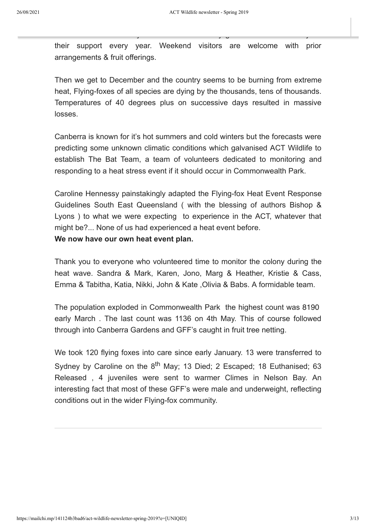their support every year. Weekend visitors are welcome with prior arrangements & fruit offerings.

Bat Clinic and Sanctuary in Nowra. We are very grateful to the sanctuary for

Then we get to December and the country seems to be burning from extreme heat, Flying-foxes of all species are dying by the thousands, tens of thousands. Temperatures of 40 degrees plus on successive days resulted in massive losses.

Canberra is known for it's hot summers and cold winters but the forecasts were predicting some unknown climatic conditions which galvanised ACT Wildlife to establish The Bat Team, a team of volunteers dedicated to monitoring and responding to a heat stress event if it should occur in Commonwealth Park.

Caroline Hennessy painstakingly adapted the Flying-fox Heat Event Response Guidelines South East Queensland ( with the blessing of authors Bishop & Lyons ) to what we were expecting to experience in the ACT, whatever that might be?... None of us had experienced a heat event before.

**We now have our own heat event plan.**

Thank you to everyone who volunteered time to monitor the colony during the heat wave. Sandra & Mark, Karen, Jono, Marg & Heather, Kristie & Cass, Emma & Tabitha, Katia, Nikki, John & Kate ,Olivia & Babs. A formidable team.

The population exploded in Commonwealth Park the highest count was 8190 early March . The last count was 1136 on 4th May. This of course followed through into Canberra Gardens and GFF's caught in fruit tree netting.

We took 120 flying foxes into care since early January. 13 were transferred to Sydney by Caroline on the  $8^{th}$  May; 13 Died; 2 Escaped; 18 Euthanised; 63 Released , 4 juveniles were sent to warmer Climes in Nelson Bay. An interesting fact that most of these GFF's were male and underweight, reflecting conditions out in the wider Flying-fox community.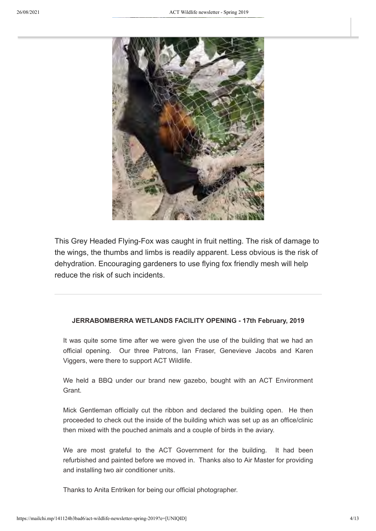

This Grey Headed Flying-Fox was caught in fruit netting. The risk of damage to the wings, the thumbs and limbs is readily apparent. Less obvious is the risk of dehydration. Encouraging gardeners to use flying fox friendly mesh will help reduce the risk of such incidents.

#### **JERRABOMBERRA WETLANDS FACILITY OPENING - 17th February, 2019**

It was quite some time after we were given the use of the building that we had an official opening. Our three Patrons, Ian Fraser, Genevieve Jacobs and Karen Viggers, were there to support ACT Wildlife.

We held a BBQ under our brand new gazebo, bought with an ACT Environment Grant.

Mick Gentleman officially cut the ribbon and declared the building open. He then proceeded to check out the inside of the building which was set up as an office/clinic then mixed with the pouched animals and a couple of birds in the aviary.

We are most grateful to the ACT Government for the building. It had been refurbished and painted before we moved in. Thanks also to Air Master for providing and installing two air conditioner units.

Thanks to Anita Entriken for being our official photographer.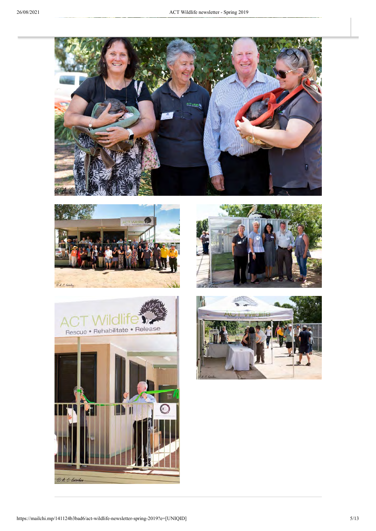







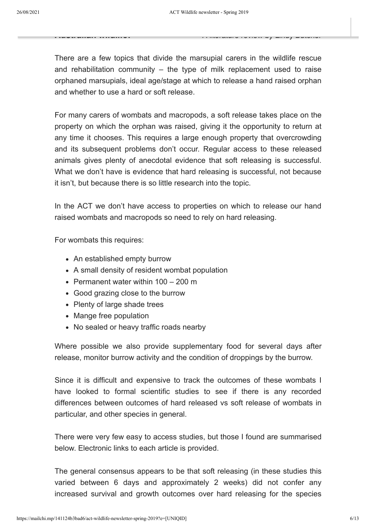There are a few topics that divide the marsupial carers in the wildlife rescue and rehabilitation community  $-$  the type of milk replacement used to raise orphaned marsupials, ideal age/stage at which to release a hand raised orphan and whether to use a hard or soft release.

**Australian wildlife:**  A literature review by Lindy Butcher

For many carers of wombats and macropods, a soft release takes place on the property on which the orphan was raised, giving it the opportunity to return at any time it chooses. This requires a large enough property that overcrowding and its subsequent problems don't occur. Regular access to these released animals gives plenty of anecdotal evidence that soft releasing is successful. What we don't have is evidence that hard releasing is successful, not because it isn't, but because there is so little research into the topic.

In the ACT we don't have access to properties on which to release our hand raised wombats and macropods so need to rely on hard releasing.

For wombats this requires:

- An established empty burrow
- A small density of resident wombat population
- Permanent water within  $100 200$  m
- Good grazing close to the burrow
- Plenty of large shade trees
- Mange free population
- No sealed or heavy traffic roads nearby

Where possible we also provide supplementary food for several days after release, monitor burrow activity and the condition of droppings by the burrow.

Since it is difficult and expensive to track the outcomes of these wombats I have looked to formal scientific studies to see if there is any recorded differences between outcomes of hard released vs soft release of wombats in particular, and other species in general.

There were very few easy to access studies, but those I found are summarised below. Electronic links to each article is provided.

The general consensus appears to be that soft releasing (in these studies this varied between 6 days and approximately 2 weeks) did not confer any increased survival and growth outcomes over hard releasing for the species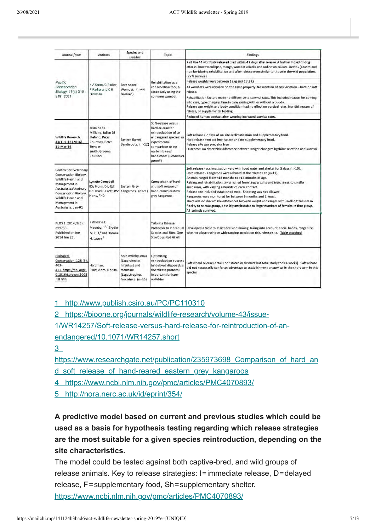research.

| Journal / year                                                                                                                                                                                                    | Authors                                                                                                       | Species and<br>number                                                                                   | <b>Topic</b>                                                                                                                                                                        | Findings                                                                                                                                                                                                                                                                                                                                                                                                                                                                                                                                                                                                                                                                                                                                                                                                                                        |
|-------------------------------------------------------------------------------------------------------------------------------------------------------------------------------------------------------------------|---------------------------------------------------------------------------------------------------------------|---------------------------------------------------------------------------------------------------------|-------------------------------------------------------------------------------------------------------------------------------------------------------------------------------------|-------------------------------------------------------------------------------------------------------------------------------------------------------------------------------------------------------------------------------------------------------------------------------------------------------------------------------------------------------------------------------------------------------------------------------------------------------------------------------------------------------------------------------------------------------------------------------------------------------------------------------------------------------------------------------------------------------------------------------------------------------------------------------------------------------------------------------------------------|
| Pacific<br>Conservation<br>Biology 17(4) 310 -<br>319 2011                                                                                                                                                        | K A Saran, G Parker,<br>R Parker and C R<br>Dickman                                                           | <b>Bare nosed</b><br>Wombat. (n=44<br>released)                                                         | Rehabilitation as a<br>conservation tool; a<br>case study using the<br>common wombat                                                                                                | 2 of the 44 wombats released died within 42 days after release. A further 8 died of dog<br>attacks, burrow collapse, mange, wombat attacks and unknown causes. Deaths (causes and<br>number) during rehabilitation and after release were similar to those in the wild population.<br>(77% survival)<br>Release weights were between 12kg and 19.2 kg<br>All wombats were released on the same property. No mention of any variation - hard or soft<br>release.<br>Rehabilitation factors made no difference to survival rates. This included reason for coming<br>into care, type of injury, time in care, raising with or without a buddy.<br>Release age, weight and body condition had no effect on survival rates. Nor did season of<br>release, or supplemental feeding.<br>Reduced human contact after weaning increased survival rates. |
| Wildlife Research,<br>43(1):1-12 (2016)<br>$11-Mar-16$                                                                                                                                                            | Jasmine de<br>Milliano, Julian Di<br>Stefano, Peter<br>Courtney, Peter<br>Temple-<br>Smith, Graeme<br>Coulson | <b>Eastern Barred</b><br>Bandicoots. (n=12                                                              | Soft-release versus<br>hard-release for<br>reintroduction of an<br>endangered species: ar<br>experimental<br>comparison using<br>eastern barred<br>bandicoots (Perameles<br>qunnil) | Soft release = 7 days of on site acclimatisation and supplementary food.<br>Hard release = no acclimatisation and no supplementary food.<br>Release site was predator free.<br>Outcome: no detectable difference between weight changem hgabitat selection and survival                                                                                                                                                                                                                                                                                                                                                                                                                                                                                                                                                                         |
| Conference: Veterinary<br>Conservation Biology,<br>Wildlife Health and<br>Management in<br>Australasia.Veterinary<br><b>Conservation Biology</b> ,<br>Wildlife Health and<br>Management in<br>Australasia. Jan-01 | Lynette Campbell<br>BSc Hons, Dip Ed.<br>Dr David B Croft, BSc<br>Hons, PhD                                   | <b>Eastern Grey</b><br>Kangaroos. (n=21)                                                                | Comparison of hard<br>and soft release of<br>hand-reared eastern<br>grey kangaroos.                                                                                                 | Soft release = acclimatisation yard with food water and shelter for 5 days (n=10).<br>Hard release - Kangaroos were released at the release site (n=11).<br>Animals ranged from <18 months to >18 months of age.<br>Raising and rehabilitation styles varied from large grazing and treed areas to smaller<br>encosures, with varying amounts of carer contact.<br>Release site included established mob. Shooting was not allowed.<br>Kangaroos were monitored for between 6 months and 2 years.<br>There was no discernible differences between weight and ranges with small differences in<br>fidelity to release group, possibly attributable to larger numbers of females in that group.<br>All animals survived.                                                                                                                          |
| PLOS 1.2014; 9(6):<br>e99753.<br>Published online<br>2014 Jun 25.                                                                                                                                                 | Katherine E.<br>Moseby, 1,2, Brydie<br>M. Hill, <sup>2</sup> and Tyrone<br>H. Lavery <sup>3</sup>             |                                                                                                         | <b>Tailoring Release</b><br>Protocols to Individual<br>Species and Sites: One<br>Size Does Not Fit All                                                                              | Developed a table to assist decision making, taking into account, social habits, range size,<br>whether a burrowing or wide ranging, predation risk, release site. Table attached                                                                                                                                                                                                                                                                                                                                                                                                                                                                                                                                                                                                                                                               |
| Biological<br>Conservation, 128 (3).<br>$403 -$<br>411. https://doi.org/1<br>0.1016/j.biocon.2005<br>.10.006                                                                                                      | Hardman,<br>Blair: Moro, Dorian.                                                                              | hare-wallaby, mala<br>(Lagorchestes<br>hirsutus) and<br>merrnine<br>(Lagostrophus<br>fasciatus). (n=35) | Optimising<br>reintroduction success<br>by delayed dispersal: Is<br>the release protocol<br>important for hare-<br>wallables                                                        | Soft v hard release (details not stated in abstract but total study took 4 weeks). Soft release<br>did not necessarily confer an advantage to establishment or survival in the short term in this<br>species                                                                                                                                                                                                                                                                                                                                                                                                                                                                                                                                                                                                                                    |

#### 1 http://www[.publish.csiro.au/PC/PC110310](http://www.publish.csiro.au/PC/PC110310)

2 https://bioone.org/journals/wildlife-research/volume-43/issue-

[1/WR14257/Soft-release-versus-hard-release-for-reintroduction-of-an-](https://bioone.org/journals/wildlife-research/volume-43/issue-1/WR14257/Soft-release-versus-hard-release-for-reintroduction-of-an-endangered/10.1071/WR14257.short)

endangered/10.1071/WR14257.short

3

https://www.researchgate.net/publication/235973698 Comparison of hard an

d soft release of hand-reared eastern grey\_kangaroos

4 https://www[.ncbi.nlm.nih.gov/pmc/articles/PMC4070893/](https://www.ncbi.nlm.nih.gov/pmc/articles/PMC4070893/)

[5 http://nora.nerc.ac.uk/id/eprint/354/](http://nora.nerc.ac.uk/id/eprint/354/)

## **A predictive model based on current and previous studies which could be used as a basis for hypothesis testing regarding which release strategies are the most suitable for a given species reintroduction, depending on the site characteristics.**

The model could be tested against both captive-bred, and wild groups of release animals. Key to release strategies: I = immediate release, D = delayed release, F=supplementary food, Sh=supplementary shelter. <https://www.ncbi.nlm.nih.gov/pmc/articles/PMC4070893/>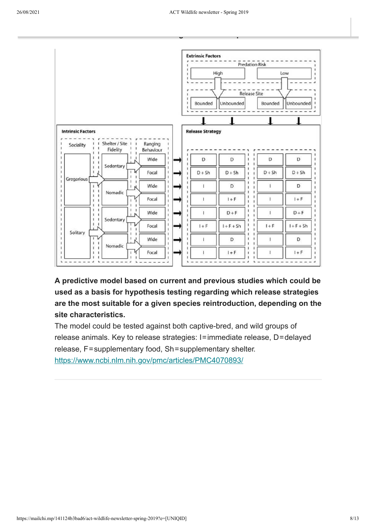

**A predictive model based on current and previous studies which could be used as a basis for hypothesis testing regarding which release strategies are the most suitable for a given species reintroduction, depending on the site characteristics.**

The model could be tested against both captive-bred, and wild groups of release animals. Key to release strategies: I = immediate release, D = delayed release, F = supplementary food, Sh = supplementary shelter. <https://www.ncbi.nlm.nih.gov/pmc/articles/PMC4070893/>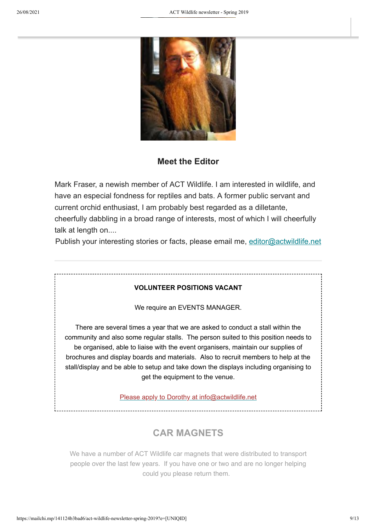

**Meet the Editor**

Mark Fraser, a newish member of ACT Wildlife. I am interested in wildlife, and have an especial fondness for reptiles and bats. A former public servant and current orchid enthusiast, I am probably best regarded as a dilletante, cheerfully dabbling in a broad range of interests, most of which I will cheerfully talk at length on....

Publish your interesting stories or facts, please email me, [editor@actwildlife.net](mailto:editor@actwildlife.net?subject=Newsletter)

#### **VOLUNTEER POSITIONS VACANT**

We require an EVENTS MANAGER.

There are several times a year that we are asked to conduct a stall within the community and also some regular stalls. The person suited to this position needs to be organised, able to liaise with the event organisers, maintain our supplies of brochures and display boards and materials. Also to recruit members to help at the stall/display and be able to setup and take down the displays including organising to get the equipment to the venue.

[Please apply to Dorothy at info@actwildlife.net](mailto:info@actwildlife.net)

### **CAR MAGNETS**

We have a number of ACT Wildlife car magnets that were distributed to transport people over the last few years. If you have one or two and are no longer helping could you please return them.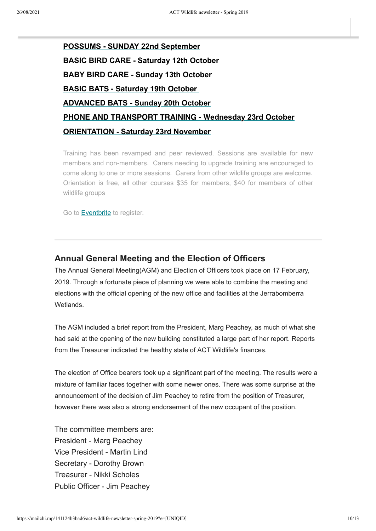| <b>POSSUMS - SUNDAY 22nd September</b>                       |
|--------------------------------------------------------------|
| <b>BASIC BIRD CARE - Saturday 12th October</b>               |
| <b>BABY BIRD CARE - Sunday 13th October</b>                  |
| <b>BASIC BATS - Saturday 19th October</b>                    |
| <b>ADVANCED BATS - Sunday 20th October</b>                   |
| <b>PHONE AND TRANSPORT TRAINING - Wednesday 23rd October</b> |
| <b>ORIENTATION - Saturday 23rd November</b>                  |

Training has been revamped and peer reviewed. Sessions are available for new members and non-members. Carers needing to upgrade training are encouraged to come along to one or more sessions. Carers from other wildlife groups are welcome. Orientation is free, all other courses \$35 for members, \$40 for members of other wildlife groups

Go to **Eventbrite** to register.

#### **Annual General Meeting and the Election of Officers**

The Annual General Meeting(AGM) and Election of Officers took place on 17 February, 2019. Through a fortunate piece of planning we were able to combine the meeting and elections with the official opening of the new office and facilities at the Jerrabomberra Wetlands.

The AGM included a brief report from the President, Marg Peachey, as much of what she had said at the opening of the new building constituted a large part of her report. Reports from the Treasurer indicated the healthy state of ACT Wildlife's finances.

The election of Office bearers took up a significant part of the meeting. The results were a mixture of familiar faces together with some newer ones. There was some surprise at the announcement of the decision of Jim Peachey to retire from the position of Treasurer, however there was also a strong endorsement of the new occupant of the position.

The committee members are: President - Marg Peachey Vice President - Martin Lind Secretary - Dorothy Brown Treasurer - Nikki Scholes Public Officer - Jim Peachey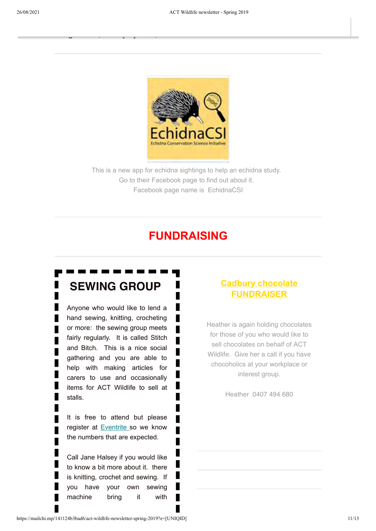

This is a new app for echidna sightings to help an echidna study. Go to their Facebook page to find out about it. Facebook page name is EchidnaCSI

## **FUNDRAISING**

п

п п

П П

П

П

П

П г

## **SEWING GROUP**

Hange Sloan, Felicity Eylward, Jono McLaren

Anyone who would like to lend a hand sewing, knitting, crocheting or more: the sewing group meets fairly regularly. It is called Stitch and Bitch. This is a nice social gathering and you are able to help with making articles for carers to use and occasionally items for ACT Wildlife to sell at stalls.

It is free to attend but please register at **Eventrite** so we know the numbers that are expected.

Call Jane Halsey if you would like to know a bit more about it. there is knitting, crochet and sewing. If you have your own sewing machine bring it with

### **Cadbury chocolate FUNDRAISER**

Heather is again holding chocolates for those of you who would like to sell chocolates on behalf of ACT Wildlife. Give her a call if you have chocoholics at your workplace or interest group.

Heather 0407 494 680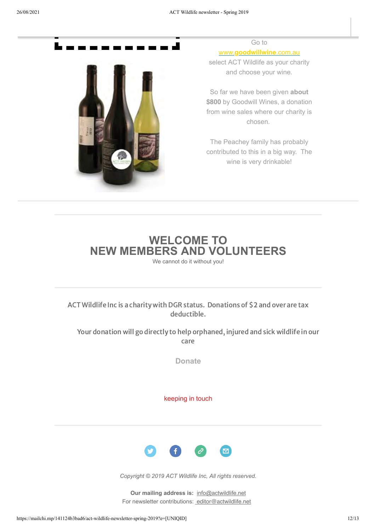

Go to www.**[goodwillwine](http://www.goodwillwine.com.au/)**.com.au select ACT Wildlife as your charity and choose your wine.

So far we have been given **about \$800** by Goodwill Wines, a donation from wine sales where our charity is chosen.

The Peachey family has probably contributed to this in a big way. The wine is very drinkable!



## **WELCOME TO NEW MEMBERS AND VOLUNTEERS**

We cannot do it without you!

ACT Wildlife Inc is a charity with DGR status. Donations of \$2 and over are tax deductible.

 Your donation will go directly to help orphaned, injured and sick wildlife in our care

**[Donate](http://actwildlife.net/donation-info.html)**

keeping in touch



*Copyright © 2019 ACT Wildlife Inc, All rights reserved.*

**Our mailing address is:** [info@actwildlife.net](mailto:info@actwildlife.net) For newsletter contributions: [editor@actwildlife.net](mailto:editor@actwildlife.net)